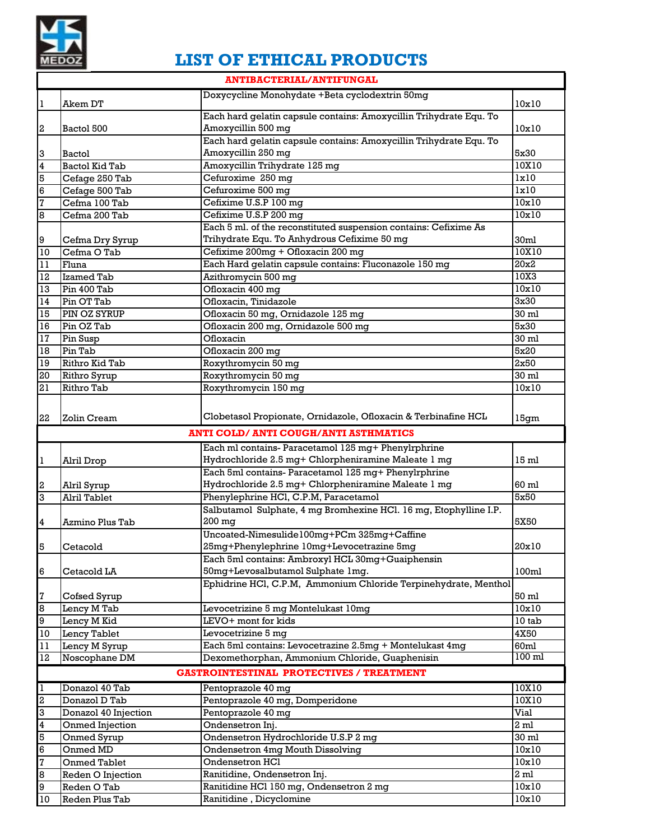

## **LIST OF ETHICAL PRODUCTS**

|                  | <b>ANTIBACTERIAL/ANTIFUNGAL</b> |                                                                    |                    |  |  |
|------------------|---------------------------------|--------------------------------------------------------------------|--------------------|--|--|
|                  | Akem DT                         | Doxycycline Monohydate +Beta cyclodextrin 50mg                     | 10x10              |  |  |
| 1                |                                 | Each hard gelatin capsule contains: Amoxycillin Trihydrate Equ. To |                    |  |  |
| $\boldsymbol{2}$ | Bactol 500                      | Amoxycillin 500 mg                                                 | 10x10              |  |  |
|                  |                                 | Each hard gelatin capsule contains: Amoxycillin Trihydrate Equ. To |                    |  |  |
| 3                | Bactol                          | Amoxycillin 250 mg                                                 | 5x30               |  |  |
| $\overline{4}$   | <b>Bactol Kid Tab</b>           | Amoxycillin Trihydrate 125 mg                                      | 10X10              |  |  |
| 5                | Cefage 250 Tab                  | Cefuroxime 250 mg                                                  | lx10               |  |  |
| $\overline{6}$   | Cefage 500 Tab                  | Cefuroxime 500 mg                                                  | $\overline{1x10}$  |  |  |
| 7                | Cefma 100 Tab                   | Cefixime U.S.P 100 mg                                              | 10x10              |  |  |
| 8                | Cefma 200 Tab                   | Cefixime U.S.P 200 mg                                              | 10x10              |  |  |
|                  |                                 | Each 5 ml. of the reconstituted suspension contains: Cefixime As   |                    |  |  |
| 9                | Cefma Dry Syrup                 | Trihydrate Equ. To Anhydrous Cefixime 50 mg                        | 30ml               |  |  |
| 10               | Cefma O Tab                     | Cefixime 200mg + Ofloxacin 200 mg                                  | 10X10              |  |  |
| 11               | Fluna                           | Each Hard gelatin capsule contains: Fluconazole 150 mg             | 20x2               |  |  |
| $\overline{12}$  | <b>Izamed Tab</b>               | Azithromycin 500 mg                                                | 10X3               |  |  |
| 13               | Pin 400 Tab                     | Ofloxacin 400 mg                                                   | $\overline{10x10}$ |  |  |
| 14               | Pin OT Tab                      | Ofloxacin, Tinidazole                                              | 3x30               |  |  |
| 15               | PIN OZ SYRUP                    | Ofloxacin 50 mg, Ornidazole 125 mg                                 | 30 ml              |  |  |
| $\overline{16}$  | Pin OZ Tab                      | Ofloxacin 200 mg, Ornidazole 500 mg                                | 5x30               |  |  |
| $17\,$           | Pin Susp                        | Ofloxacin                                                          | $30 \text{ ml}$    |  |  |
| 18               | Pin Tab                         | Ofloxacin 200 mg                                                   | 5x20               |  |  |
| 19               | Rithro Kid Tab                  | Roxythromycin 50 mg                                                | 2x50               |  |  |
| $\overline{20}$  | Rithro Syrup                    | Roxythromycin 50 mg                                                | 30 ml              |  |  |
| 21               | Rithro Tab                      | Roxythromycin 150 mg                                               | 10x10              |  |  |
|                  |                                 |                                                                    |                    |  |  |
| 22               | Zolin Cream                     | Clobetasol Propionate, Ornidazole, Ofloxacin & Terbinafine HCL     | 15gm               |  |  |
|                  |                                 | <b>ANTI COLD/ ANTI COUGH/ANTI ASTHMATICS</b>                       |                    |  |  |
|                  |                                 |                                                                    |                    |  |  |
|                  |                                 |                                                                    |                    |  |  |
|                  |                                 | Each ml contains- Paracetamol 125 mg+ Phenylrphrine                |                    |  |  |
| 1                | Alril Drop                      | Hydrochloride 2.5 mg+ Chlorpheniramine Maleate 1 mg                | 15 ml              |  |  |
|                  |                                 | Each 5ml contains- Paracetamol 125 mg+ Phenylrphrine               |                    |  |  |
| 2                | Alril Syrup                     | Hydrochloride 2.5 mg+ Chlorpheniramine Maleate 1 mg                | 60 ml              |  |  |
| $\overline{3}$   | Alril Tablet                    | Phenylephrine HCl, C.P.M, Paracetamol                              | 5x50               |  |  |
|                  |                                 | Salbutamol Sulphate, 4 mg Bromhexine HCl. 16 mg, Etophylline I.P.  |                    |  |  |
| 4                | Azmino Plus Tab                 | 200 mg                                                             | 5X50               |  |  |
|                  |                                 | Uncoated-Nimesulide100mg+PCm 325mg+Caffine                         |                    |  |  |
| 5                | Cetacold                        | 25mg+Phenylephrine 10mg+Levocetrazine 5mg                          | 20x10              |  |  |
|                  |                                 | Each 5ml contains: Ambroxyl HCL 30mg+Guaiphensin                   |                    |  |  |
| 6                | Cetacold LA                     | 50mg+Levosalbutamol Sulphate 1mg.                                  | 100ml              |  |  |
|                  |                                 | Ephidrine HCl, C.P.M, Ammonium Chloride Terpinehydrate, Menthol    |                    |  |  |
| 7                | Cofsed Syrup                    |                                                                    | 50 ml              |  |  |
| 8                | Lency M Tab                     | Levocetrizine 5 mg Montelukast 10mg                                | 10x10              |  |  |
| 9                | Lency M Kid                     | LEVO+ mont for kids                                                | 10 tab             |  |  |
| 10               | Lency Tablet                    | Levocetrizine 5 mg                                                 | 4X50               |  |  |
| $1\,1$           | Lency M Syrup                   | Each 5ml contains: Levocetrazine 2.5mg + Montelukast 4mg           | 60ml               |  |  |
| $12\,$           | Noscophane DM                   | Dexomethorphan, Ammonium Chloride, Guaphenisin                     | $100 \text{ ml}$   |  |  |
|                  |                                 | <b>GASTROINTESTINAL PROTECTIVES / TREATMENT</b>                    |                    |  |  |
| $\overline{1}$   | Donazol 40 Tab                  | Pentoprazole 40 mg                                                 | 10X10              |  |  |
| $\mathbf{S}$     | Donazol D Tab                   | Pentoprazole 40 mg, Domperidone                                    | 10X10              |  |  |
| 3                | Donazol 40 Injection            | Pentoprazole 40 mg                                                 | Vial               |  |  |
| 4                | Onmed Injection                 | Ondensetron Inj.                                                   | 2 ml               |  |  |
| 5                | Onmed Syrup                     | Ondensetron Hydrochloride U.S.P 2 mg                               | 30 ml              |  |  |
| 6                | Onmed MD                        | Ondensetron 4mg Mouth Dissolving                                   | 10x10              |  |  |
| 7                | Onmed Tablet                    | Ondensetron HCl                                                    | 10x10              |  |  |
| 8                | Reden O Injection               | Ranitidine, Ondensetron Inj.                                       | 2 ml               |  |  |
| 9<br>10          | Reden O Tab<br>Reden Plus Tab   | Ranitidine HCl 150 mg, Ondensetron 2 mg<br>Ranitidine, Dicyclomine | 10x10<br>10x10     |  |  |